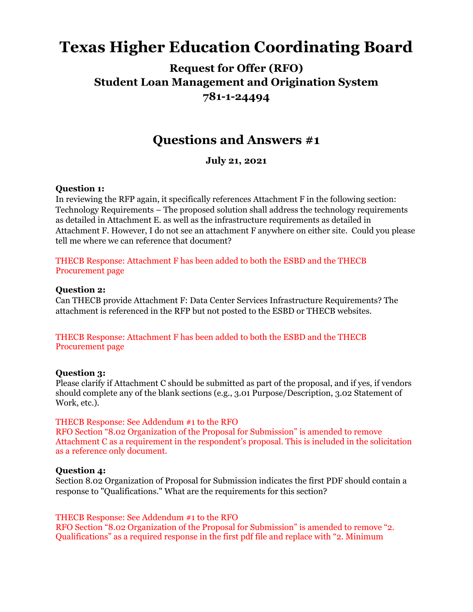# **Texas Higher Education Coordinating Board**

# **Request for Offer (RFO) Student Loan Management and Origination System 781-1-24494**

# **Questions and Answers #1**

**July 21, 2021**

#### **Question 1:**

In reviewing the RFP again, it specifically references Attachment F in the following section: Technology Requirements – The proposed solution shall address the technology requirements as detailed in Attachment E. as well as the infrastructure requirements as detailed in Attachment F. However, I do not see an attachment F anywhere on either site. Could you please tell me where we can reference that document?

### THECB Response: Attachment F has been added to both the ESBD and the THECB Procurement page

#### **Question 2:**

Can THECB provide Attachment F: Data Center Services Infrastructure Requirements? The attachment is referenced in the RFP but not posted to the ESBD or THECB websites.

#### THECB Response: Attachment F has been added to both the ESBD and the THECB Procurement page

#### **Question 3:**

Please clarify if Attachment C should be submitted as part of the proposal, and if yes, if vendors should complete any of the blank sections (e.g., 3.01 Purpose/Description, 3.02 Statement of Work, etc.).

## THECB Response: See Addendum #1 to the RFO

RFO Section "8.02 Organization of the Proposal for Submission" is amended to remove Attachment C as a requirement in the respondent's proposal. This is included in the solicitation as a reference only document.

## **Question 4:**

Section 8.02 Organization of Proposal for Submission indicates the first PDF should contain a response to "Qualifications." What are the requirements for this section?

#### THECB Response: See Addendum #1 to the RFO

RFO Section "8.02 Organization of the Proposal for Submission" is amended to remove "2. Qualifications" as a required response in the first pdf file and replace with "2. Minimum